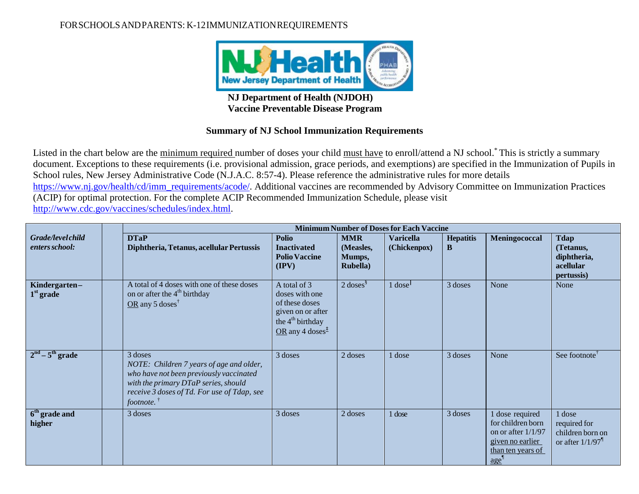## FORSCHOOLSANDPARENTS: K-12IMMUNIZATIONREQUIREMENTS



## **NJ Department of Health (NJDOH) Vaccine Preventable Disease Program**

## **Summary of NJ School Immunization Requirements**

Listed in the chart below are the minimum required number of doses your child must have to enroll/attend a NJ school.\* This is strictly a summary document. Exceptions to these requirements (i.e. provisional admission, grace periods, and exemptions) are specified in the Immunization of Pupils in School rules, New Jersey Administrative Code (N.J.A.C. 8:57-4). Please reference the administrative rules for more details [https://www.nj.gov/health/cd/imm\\_requirements/acode/.](https://www.nj.gov/health/cd/imm_requirements/acode/) Additional vaccines are recommended by Advisory Committee on Immunization Practices (ACIP) for optimal protection. For the complete ACIP Recommended Immunization Schedule, please visit [http://www.cdc.gov/vaccines/schedules/index.html.](http://www.cdc.gov/vaccines/schedules/index.html)

|                                     | <b>Minimum Number of Doses for Each Vaccine</b>                                                                                                                                                    |                                                                                                                                       |                                                       |                                                         |                       |                                                                                                                                   |                                                                              |
|-------------------------------------|----------------------------------------------------------------------------------------------------------------------------------------------------------------------------------------------------|---------------------------------------------------------------------------------------------------------------------------------------|-------------------------------------------------------|---------------------------------------------------------|-----------------------|-----------------------------------------------------------------------------------------------------------------------------------|------------------------------------------------------------------------------|
| Grade/level child<br>enters school: | <b>DTaP</b><br>Diphtheria, Tetanus, acellular Pertussis                                                                                                                                            | <b>Polio</b><br><b>Inactivated</b><br><b>Polio Vaccine</b><br>$(\mathbf{IPV})$                                                        | <b>MMR</b><br>(Measles,<br>Mumps,<br><b>Rubella</b> ) | <b>Varicella</b><br>(Chickenpox)                        | <b>Hepatitis</b><br>B | Meningococcal                                                                                                                     | <b>Tdap</b><br>(Tetanus,<br>diphtheria,<br>acellular<br>pertussis)           |
| Kindergarten-<br>$1st$ grade        | A total of 4 doses with one of these doses<br>on or after the 4 <sup>th</sup> birthday<br>$OR$ any 5 doses <sup>†</sup>                                                                            | A total of 3<br>doses with one<br>of these doses<br>given on or after<br>the 4 <sup>th</sup> birthday<br>OR any 4 doses $\frac{1}{2}$ | $2 \, \text{doses}^{\S}$                              | $1$ dose <sup><math>\overline{\phantom{a}}</math></sup> | 3 doses               | None                                                                                                                              | None                                                                         |
| $2nd - 5th$ grade                   | 3 doses<br>NOTE: Children 7 years of age and older,<br>who have not been previously vaccinated<br>with the primary DTaP series, should<br>receive 3 doses of Td. For use of Tdap, see<br>footnote. | 3 doses                                                                                                                               | 2 doses                                               | 1 dose                                                  | 3 doses               | None                                                                                                                              | See footnote <sup>1</sup>                                                    |
| $6th$ grade and<br>higher           | 3 doses                                                                                                                                                                                            | 3 doses                                                                                                                               | 2 doses                                               | 1 dose                                                  | 3 doses               | 1 dose required<br>for children born<br>on or after $1/1/97$<br>given no earlier<br>than ten years of<br>$\text{age}^{\parallel}$ | 1 dose<br>required for<br>children born on<br>or after $1/1/97$ <sup>1</sup> |